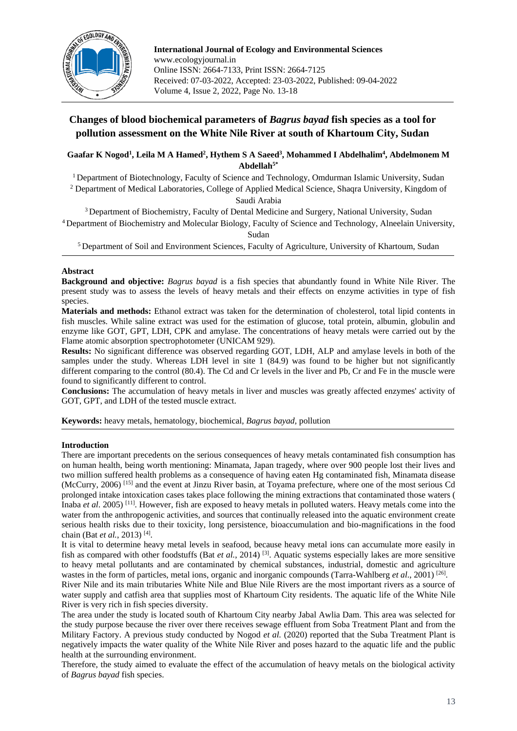

**International Journal of Ecology and Environmental Sciences** www.ecologyjournal.in Online ISSN: 2664-7133, Print ISSN: 2664-7125 Received: 07-03-2022, Accepted: 23-03-2022, Published: 09-04-2022 Volume 4, Issue 2, 2022, Page No. 13-18

## **Changes of blood biochemical parameters of** *Bagrus bayad* **fish species as a tool for pollution assessment on the White Nile River at south of Khartoum City, Sudan**

**Gaafar K Nogod<sup>1</sup> , Leila M A Hamed<sup>2</sup> , Hythem S A Saeed<sup>3</sup> , Mohammed I Abdelhalim<sup>4</sup> , Abdelmonem M Abdellah5\***

<sup>1</sup> Department of Biotechnology, Faculty of Science and Technology, Omdurman Islamic University, Sudan <sup>2</sup> Department of Medical Laboratories, College of Applied Medical Science, Shaqra University, Kingdom of Saudi Arabia

<sup>3</sup> Department of Biochemistry, Faculty of Dental Medicine and Surgery, National University, Sudan <sup>4</sup>Department of Biochemistry and Molecular Biology, Faculty of Science and Technology, Alneelain University, Sudan

<sup>5</sup> Department of Soil and Environment Sciences, Faculty of Agriculture, University of Khartoum, Sudan

## **Abstract**

**Background and objective:** *Bagrus bayad* is a fish species that abundantly found in White Nile River. The present study was to assess the levels of heavy metals and their effects on enzyme activities in type of fish species.

**Materials and methods:** Ethanol extract was taken for the determination of cholesterol, total lipid contents in fish muscles. While saline extract was used for the estimation of glucose, total protein, albumin, globulin and enzyme like GOT, GPT, LDH, CPK and amylase. The concentrations of heavy metals were carried out by the Flame atomic absorption spectrophotometer (UNICAM 929).

**Results:** No significant difference was observed regarding GOT, LDH, ALP and amylase levels in both of the samples under the study. Whereas LDH level in site 1 (84.9) was found to be higher but not significantly different comparing to the control (80.4). The Cd and Cr levels in the liver and Pb, Cr and Fe in the muscle were found to significantly different to control.

**Conclusions:** The accumulation of heavy metals in liver and muscles was greatly affected enzymes' activity of GOT, GPT, and LDH of the tested muscle extract.

**Keywords:** heavy metals, hematology, biochemical, *Bagrus bayad,* pollution

## **Introduction**

There are important precedents on the serious consequences of heavy metals contaminated fish consumption has on human health, being worth mentioning: Minamata, Japan tragedy, where over 900 people lost their lives and two million suffered health problems as a consequence of having eaten Hg contaminated fish, Minamata disease (McCurry, 2006) [15] and the event at Jinzu River basin, at Toyama prefecture, where one of the most serious Cd prolonged intake intoxication cases takes place following the mining extractions that contaminated those waters ( Inaba *et al*. 2005) [11]. However, fish are exposed to heavy metals in polluted waters. Heavy metals come into the water from the anthropogenic activities, and sources that continually released into the aquatic environment create serious health risks due to their toxicity, long persistence, bioaccumulation and bio-magnifications in the food chain (Bat *et al.*, 2013) [4] .

It is vital to determine heavy metal levels in seafood, because heavy metal ions can accumulate more easily in fish as compared with other foodstuffs (Bat *et al.*, 2014)<sup>[3]</sup>. Aquatic systems especially lakes are more sensitive to heavy metal pollutants and are contaminated by chemical substances, industrial, domestic and agriculture wastes in the form of particles, metal ions, organic and inorganic compounds (Tarra-Wahlberg et al., 2001)<sup>[26]</sup>.

River Nile and its main tributaries White Nile and Blue Nile Rivers are the most important rivers as a source of water supply and catfish area that supplies most of Khartoum City residents. The aquatic life of the White Nile River is very rich in fish species diversity.

The area under the study is located south of Khartoum City nearby Jabal Awlia Dam. This area was selected for the study purpose because the river over there receives sewage effluent from Soba Treatment Plant and from the Military Factory. A previous study conducted by Nogod *et al.* (2020) reported that the Suba Treatment Plant is negatively impacts the water quality of the White Nile River and poses hazard to the aquatic life and the public health at the surrounding environment.

Therefore, the study aimed to evaluate the effect of the accumulation of heavy metals on the biological activity of *Bagrus bayad* fish species.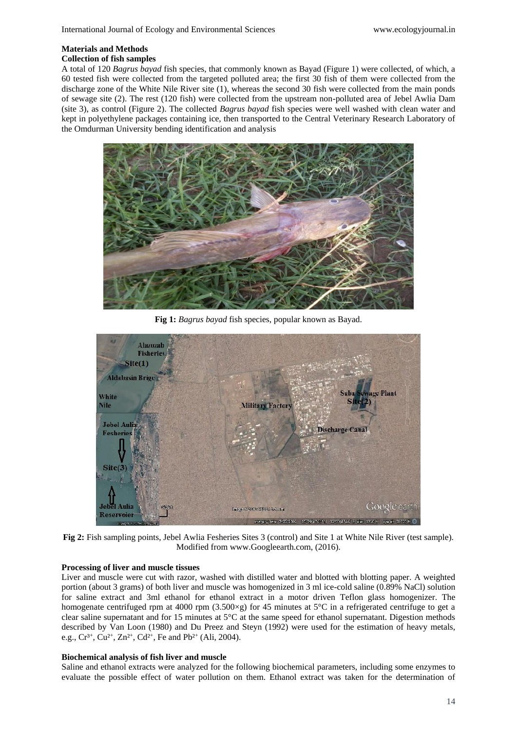# **Materials and Methods**

**Collection of fish samples**

A total of 120 *Bagrus bayad* fish species, that commonly known as Bayad (Figure 1) were collected, of which, a 60 tested fish were collected from the targeted polluted area; the first 30 fish of them were collected from the discharge zone of the White Nile River site (1), whereas the second 30 fish were collected from the main ponds of sewage site (2). The rest (120 fish) were collected from the upstream non-polluted area of Jebel Awlia Dam (site 3), as control (Figure 2). The collected *Bagrus bayad* fish species were well washed with clean water and kept in polyethylene packages containing ice, then transported to the Central Veterinary Research Laboratory of the Omdurman University bending identification and analysis



**Fig 1:** *Bagrus bayad* fish species, popular known as Bayad.



**Fig 2:** Fish sampling points, Jebel Awlia Fesheries Sites 3 (control) and Site 1 at White Nile River (test sample). Modified from www.Googleearth.com, (2016).

## **Processing of liver and muscle tissues**

Liver and muscle were cut with razor, washed with distilled water and blotted with blotting paper. A weighted portion (about 3 grams) of both liver and muscle was homogenized in 3 ml ice-cold saline (0.89% NaCl) solution for saline extract and 3ml ethanol for ethanol extract in a motor driven Teflon glass homogenizer. The homogenate centrifuged rpm at 4000 rpm (3.500×g) for 45 minutes at 5°C in a refrigerated centrifuge to get a clear saline supernatant and for 15 minutes at 5°C at the same speed for ethanol supernatant. Digestion methods described by Van Loon (1980) and Du Preez and Steyn (1992) were used for the estimation of heavy metals, e.g.,  $Cr^{3+}$ ,  $Cu^{2+}$ ,  $Zn^{2+}$ ,  $Cd^{2+}$ , Fe and Pb<sup>2+</sup> (Ali, 2004).

## **Biochemical analysis of fish liver and muscle**

Saline and ethanol extracts were analyzed for the following biochemical parameters, including some enzymes to evaluate the possible effect of water pollution on them. Ethanol extract was taken for the determination of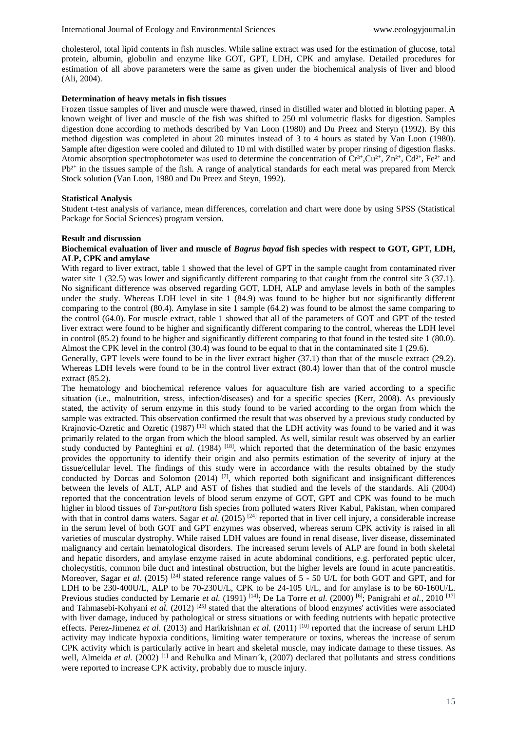cholesterol, total lipid contents in fish muscles. While saline extract was used for the estimation of glucose, total protein, albumin, globulin and enzyme like GOT, GPT, LDH, CPK and amylase. Detailed procedures for estimation of all above parameters were the same as given under the biochemical analysis of liver and blood (Ali, 2004).

#### **Determination of heavy metals in fish tissues**

Frozen tissue samples of liver and muscle were thawed, rinsed in distilled water and blotted in blotting paper. A known weight of liver and muscle of the fish was shifted to 250 ml volumetric flasks for digestion. Samples digestion done according to methods described by Van Loon (1980) and Du Preez and Steryn (1992). By this method digestion was completed in about 20 minutes instead of 3 to 4 hours as stated by Van Loon (1980). Sample after digestion were cooled and diluted to 10 ml with distilled water by proper rinsing of digestion flasks. Atomic absorption spectrophotometer was used to determine the concentration of  $Cr^{3+}$ ,  $Cu^{2+}$ ,  $Ca^{2+}$ ,  $Fe^{2+}$  and Pb<sup>2+</sup> in the tissues sample of the fish. A range of analytical standards for each metal was prepared from Merck Stock solution (Van Loon, 1980 and Du Preez and Steyn, 1992).

#### **Statistical Analysis**

Student t-test analysis of variance, mean differences, correlation and chart were done by using SPSS (Statistical Package for Social Sciences) program version.

#### **Result and discussion**

#### **Biochemical evaluation of liver and muscle of** *Bagrus bayad* **fish species with respect to GOT, GPT, LDH, ALP, CPK and amylase**

With regard to liver extract, table 1 showed that the level of GPT in the sample caught from contaminated river water site 1 (32.5) was lower and significantly different comparing to that caught from the control site 3 (37.1). No significant difference was observed regarding GOT, LDH, ALP and amylase levels in both of the samples under the study. Whereas LDH level in site 1 (84.9) was found to be higher but not significantly different comparing to the control (80.4). Amylase in site 1 sample (64.2) was found to be almost the same comparing to the control (64.0). For muscle extract, table 1 showed that all of the parameters of GOT and GPT of the tested liver extract were found to be higher and significantly different comparing to the control, whereas the LDH level in control (85.2) found to be higher and significantly different comparing to that found in the tested site 1 (80.0). Almost the CPK level in the control (30.4) was found to be equal to that in the contaminated site 1 (29.6).

Generally, GPT levels were found to be in the liver extract higher (37.1) than that of the muscle extract (29.2). Whereas LDH levels were found to be in the control liver extract (80.4) lower than that of the control muscle extract (85.2).

The hematology and biochemical reference values for aquaculture fish are varied according to a specific situation (i.e., malnutrition, stress, infection/diseases) and for a specific species (Kerr, 2008). As previously stated, the activity of serum enzyme in this study found to be varied according to the organ from which the sample was extracted. This observation confirmed the result that was observed by a previous study conducted by Krajnovic-Ozretic and Ozretic (1987) [13] which stated that the LDH activity was found to be varied and it was primarily related to the organ from which the blood sampled. As well, similar result was observed by an earlier study conducted by Panteghini et al. (1984) <sup>[18]</sup>, which reported that the determination of the basic enzymes provides the opportunity to identify their origin and also permits estimation of the severity of injury at the tissue/cellular level. The findings of this study were in accordance with the results obtained by the study conducted by Dorcas and Solomon (2014)<sup>[7]</sup>, which reported both significant and insignificant differences between the levels of ALT, ALP and AST of fishes that studied and the levels of the standards. Ali (2004) reported that the concentration levels of blood serum enzyme of GOT, GPT and CPK was found to be much higher in blood tissues of *Tur-putitora* fish species from polluted waters River Kabul, Pakistan, when compared with that in control dams waters. Sagar *et al.* (2015) <sup>[24]</sup> reported that in liver cell injury, a considerable increase in the serum level of both GOT and GPT enzymes was observed, whereas serum CPK activity is raised in all varieties of muscular dystrophy. While raised LDH values are found in renal disease, liver disease, disseminated malignancy and certain hematological disorders. The increased serum levels of ALP are found in both skeletal and hepatic disorders, and amylase enzyme raised in acute abdominal conditions, e.g. perforated peptic ulcer, cholecystitis, common bile duct and intestinal obstruction, but the higher levels are found in acute pancreatitis. Moreover, Sagar *et al.* (2015) <sup>[24]</sup> stated reference range values of 5 - 50 U/L for both GOT and GPT, and for LDH to be 230-400U/L, ALP to be 70-230U/L, CPK to be 24-105 U/L, and for amylase is to be 60-160U/L. Previous studies conducted by Lemarie *et al.* (1991) <sup>[14]</sup>; De La Torre *et al.* (2000) <sup>[6]</sup>; Panigrahi *et al.*, 2010<sup>[17]</sup> and Tahmasebi-Kohyani *et al.* (2012)<sup>[25]</sup> stated that the alterations of blood enzymes' activities were associated with liver damage, induced by pathological or stress situations or with feeding nutrients with hepatic protective effects. Perez-Jimenez *et al*. (2013) and Harikrishnan *et al*. (2011) [10] reported that the increase of serum LHD activity may indicate hypoxia conditions, limiting water temperature or toxins, whereas the increase of serum CPK activity which is particularly active in heart and skeletal muscle, may indicate damage to these tissues. As well, Almeida *et al.* (2002) <sup>[1]</sup> and Rehulka and Minari<sup>k</sup>, (2007) declared that pollutants and stress conditions were reported to increase CPK activity, probably due to muscle injury.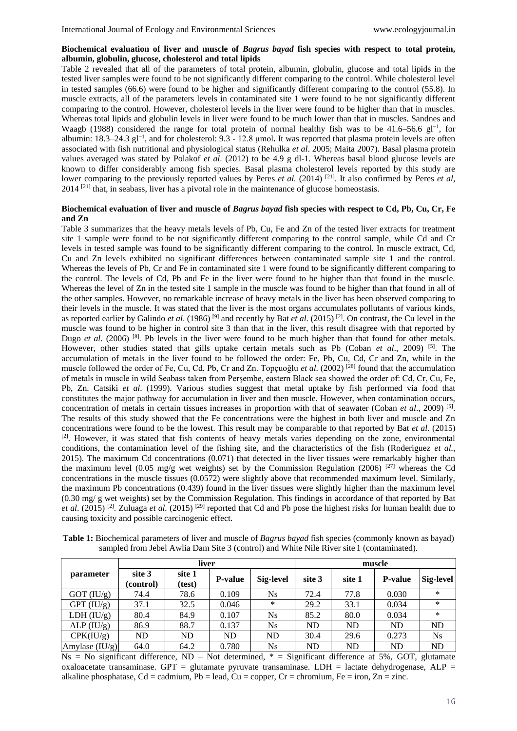#### **Biochemical evaluation of liver and muscle of** *Bagrus bayad* **fish species with respect to total protein, albumin, globulin, glucose, cholesterol and total lipids**

Table 2 revealed that all of the parameters of total protein, albumin, globulin, glucose and total lipids in the tested liver samples were found to be not significantly different comparing to the control. While cholesterol level in tested samples (66.6) were found to be higher and significantly different comparing to the control (55.8). In muscle extracts, all of the parameters levels in contaminated site 1 were found to be not significantly different comparing to the control. However, cholesterol levels in the liver were found to be higher than that in muscles. Whereas total lipids and globulin levels in liver were found to be much lower than that in muscles. Sandnes and Waagb (1988) considered the range for total protein of normal healthy fish was to be 41.6–56.6 gl<sup>-1</sup>, for albumin: 18.3–24.3 gl−1 , and for cholesterol: 9.3 - 12.8 μmol**.** It was reported that plasma protein levels are often associated with fish nutritional and physiological status (Rehulka *et al*. 2005; Maita 2007). Basal plasma protein values averaged was stated by Polakof *et al*. (2012) to be 4.9 g dl-1. Whereas basal blood glucose levels are known to differ considerably among fish species. Basal plasma cholesterol levels reported by this study are lower comparing to the previously reported values by Peres *et al.* (2014) <sup>[21]</sup>. It also confirmed by Peres *et al*, 2014<sup>[21]</sup> that, in seabass, liver has a pivotal role in the maintenance of glucose homeostasis.

#### **Biochemical evaluation of liver and muscle of** *Bagrus bayad* **fish species with respect to Cd, Pb, Cu, Cr, Fe and Zn**

Table 3 summarizes that the heavy metals levels of Pb, Cu, Fe and Zn of the tested liver extracts for treatment site 1 sample were found to be not significantly different comparing to the control sample, while Cd and Cr levels in tested sample was found to be significantly different comparing to the control. In muscle extract, Cd, Cu and Zn levels exhibited no significant differences between contaminated sample site 1 and the control. Whereas the levels of Pb, Cr and Fe in contaminated site 1 were found to be significantly different comparing to the control. The levels of Cd, Pb and Fe in the liver were found to be higher than that found in the muscle. Whereas the level of Zn in the tested site 1 sample in the muscle was found to be higher than that found in all of the other samples. However, no remarkable increase of heavy metals in the liver has been observed comparing to their levels in the muscle. It was stated that the liver is the most organs accumulates pollutants of various kinds, as reported earlier by Galindo *et al*. (1986) [9] and recently by Bat *et al*. (2015) [2]. On contrast, the Cu level in the muscle was found to be higher in control site 3 than that in the liver, this result disagree with that reported by Dugo *et al.* (2006) <sup>[8]</sup>. Pb levels in the liver were found to be much higher than that found for other metals. However, other studies stated that gills uptake certain metals such as Pb (Coban *et al*., 2009) [5]. The accumulation of metals in the liver found to be followed the order: Fe, Pb, Cu, Cd, Cr and Zn, while in the muscle followed the order of Fe, Cu, Cd, Pb, Cr and Zn. Topçuoğlu *et al*. (2002) [28] found that the accumulation of metals in muscle in wild Seabass taken from Perşembe, eastern Black sea showed the order of: Cd, Cr, Cu, Fe, Pb, Zn. Catsiki *et al*. (1999). Various studies suggest that metal uptake by fish performed via food that constitutes the major pathway for accumulation in liver and then muscle. However, when contamination occurs, concentration of metals in certain tissues increases in proportion with that of seawater (Coban *et al*., 2009) [5] . The results of this study showed that the Fe concentrations were the highest in both liver and muscle and Zn concentrations were found to be the lowest. This result may be comparable to that reported by Bat *et al*. (2015) [2]. However, it was stated that fish contents of heavy metals varies depending on the zone, environmental conditions, the contamination level of the fishing site, and the characteristics of the fish (Roderiguez *et al.*, 2015). The maximum Cd concentrations (0.071) that detected in the liver tissues were remarkably higher than the maximum level (0.05 mg/g wet weights) set by the Commission Regulation (2006) [27] whereas the Cd concentrations in the muscle tissues (0.0572) were slightly above that recommended maximum level. Similarly, the maximum Pb concentrations (0.439) found in the liver tissues were slightly higher than the maximum level (0.30 mg/ g wet weights) set by the Commission Regulation. This findings in accordance of that reported by Bat *et al*. (2015) [2]. Zuluaga *et al.* (2015) [29] reported that Cd and Pb pose the highest risks for human health due to causing toxicity and possible carcinogenic effect.

| sampled from Jebel Awlia Dam Site 3 (control) and White Nile River site 1 (contaminated). |                  |                     |                  |                |           |        |        |                |           |  |
|-------------------------------------------------------------------------------------------|------------------|---------------------|------------------|----------------|-----------|--------|--------|----------------|-----------|--|
|                                                                                           | <b>parameter</b> |                     | liver            |                | muscle    |        |        |                |           |  |
|                                                                                           |                  | site 3<br>(control) | site 1<br>(test) | <b>P-value</b> | Sig-level | site 3 | site 1 | <b>P-value</b> | Sig-level |  |
|                                                                                           | $GOT$ (IU/g)     | 74.4                | 78.6             | 0.109          | Ns        | 72.4   | 77.8   | 0.030          | $^{\ast}$ |  |

 $\frac{GPT (IU/g)}{LDH (IU/g)}$  37.1 32.5 0.046 \* 29.2 33.1 0.034 \*<br> $\frac{1}{2}$ <br> $\frac{1}{2}$ LDH (IU/g) 80.4 84.9 0.107 Ns 85.2 80.0 0.034

ALP (IU/g) 86.9 88.7 0.137 Ns ND ND ND ND ND  $CPK(IU/g)$  ND ND ND ND ND 30.4 29.6 0.273 Ns

**Table 1:** Biochemical parameters of liver and muscle of *Bagrus bayad* fish species (commonly known as bayad) sampled from Jebel Awlia Dam Site 3 (control) and White Nile River site 1 (contaminated).

Amylase  $(IU/g)$  64.0 64.2 0.780 Ns ND ND ND ND ND  $Ns = No$  significant difference,  $ND - Not$  determined,  $* =$  Significant difference at 5%, GOT, glutamate oxaloacetate transaminase. GPT = glutamate pyruvate transaminase. LDH = lactate dehydrogenase, ALP = alkaline phosphatase, Cd = cadmium, Pb = lead, Cu = copper, Cr = chromium, Fe = iron, Zn = zinc.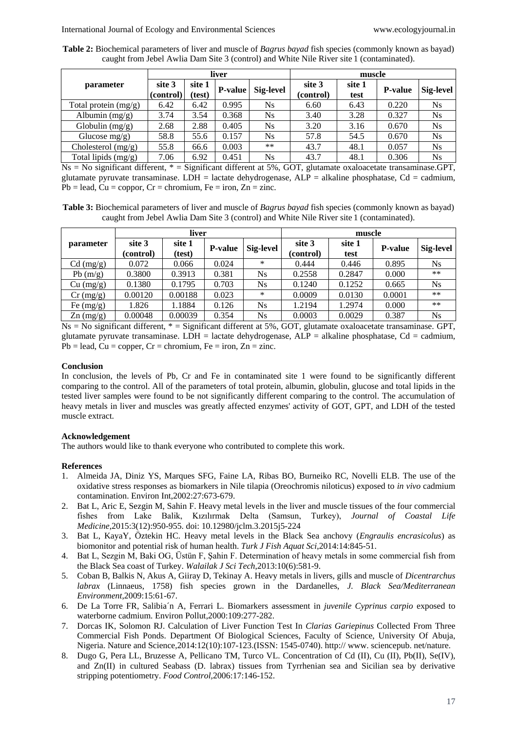**Table 2:** Biochemical parameters of liver and muscle of *Bagrus bayad* fish species (commonly known as bayad) caught from Jebel Awlia Dam Site 3 (control) and White Nile River site 1 (contaminated).

|                        | liver               |                  |                |           | muscle              |                |                |                  |  |
|------------------------|---------------------|------------------|----------------|-----------|---------------------|----------------|----------------|------------------|--|
| parameter              | site 3<br>(control) | site 1<br>(test) | <b>P-value</b> | Sig-level | site 3<br>(control) | site 1<br>test | <b>P-value</b> | <b>Sig-level</b> |  |
| Total protein $(mg/g)$ | 6.42                | 6.42             | 0.995          | Ns        | 6.60                | 6.43           | 0.220          | <b>Ns</b>        |  |
| Albumin $(mg/g)$       | 3.74                | 3.54             | 0.368          | <b>Ns</b> | 3.40                | 3.28           | 0.327          | <b>Ns</b>        |  |
| Globulin $(mg/g)$      | 2.68                | 2.88             | 0.405          | Ns        | 3.20                | 3.16           | 0.670          | <b>Ns</b>        |  |
| Glucose $mg/g$ )       | 58.8                | 55.6             | 0.157          | Ns        | 57.8                | 54.5           | 0.670          | $N_{S}$          |  |
| Cholesterol (mg/g)     | 55.8                | 66.6             | 0.003          | $***$     | 43.7                | 48.1           | 0.057          | <b>Ns</b>        |  |
| Total lipids $(mg/g)$  | 7.06                | 6.92             | 0.451          | Ns        | 43.7                | 48.1           | 0.306          | <b>Ns</b>        |  |

 $Ns = No$  significant different,  $* =$  Significant different at 5%, GOT, glutamate oxaloacetate transaminase.GPT, glutamate pyruvate transaminase. LDH = lactate dehydrogenase,  $ALP =$  alkaline phosphatase,  $Cd =$  cadmium,  $Pb = lead$ ,  $Cu = coppor$ ,  $Cr = chromium$ ,  $Fe = iron$ ,  $Zn = zinc$ .

**Table 3:** Biochemical parameters of liver and muscle of *Bagrus bayad* fish species (commonly known as bayad) caught from Jebel Awlia Dam Site 3 (control) and White Nile River site 1 (contaminated).

|                    |                     | liver            |                |                  | muscle              |                |                |                  |  |
|--------------------|---------------------|------------------|----------------|------------------|---------------------|----------------|----------------|------------------|--|
| parameter          | site 3<br>(control) | site 1<br>(test) | <b>P-value</b> | <b>Sig-level</b> | site 3<br>(control) | site 1<br>test | <b>P-value</b> | <b>Sig-level</b> |  |
| Cd (mg/g)          | 0.072               | 0.066            | 0.024          | *                | 0.444               | 0.446          | 0.895          | Ns               |  |
| Pb $(m/g)$         | 0.3800              | 0.3913           | 0.381          | <b>Ns</b>        | 0.2558              | 0.2847         | 0.000          | $***$            |  |
| Cu (mg/g)          | 0.1380              | 0.1795           | 0.703          | <b>Ns</b>        | 0.1240              | 0.1252         | 0.665          | Ns               |  |
| $Cr \, (mg/g)$     | 0.00120             | 0.00188          | 0.023          | *                | 0.0009              | 0.0130         | 0.0001         | $***$            |  |
| Fe $(mg/g)$        | 1.826               | 1.1884           | 0.126          | <b>Ns</b>        | 1.2194              | 1.2974         | 0.000          | $***$            |  |
| $\text{Zn}$ (mg/g) | 0.00048             | 0.00039          | 0.354          | <b>Ns</b>        | 0.0003              | 0.0029         | 0.387          | Ns               |  |

Ns = No significant different, \* = Significant different at 5%, GOT, glutamate oxaloacetate transaminase. GPT, glutamate pyruvate transaminase. LDH = lactate dehydrogenase,  $ALP =$  alkaline phosphatase,  $Cd =$  cadmium,  $Pb = lead$ ,  $Cu = copper$ ,  $Cr = chromium$ ,  $Fe = iron$ ,  $Zn = zinc$ .

## **Conclusion**

In conclusion, the levels of Pb, Cr and Fe in contaminated site 1 were found to be significantly different comparing to the control. All of the parameters of total protein, albumin, globulin, glucose and total lipids in the tested liver samples were found to be not significantly different comparing to the control. The accumulation of heavy metals in liver and muscles was greatly affected enzymes' activity of GOT, GPT, and LDH of the tested muscle extract.

## **Acknowledgement**

The authors would like to thank everyone who contributed to complete this work.

#### **References**

- 1. Almeida JA, Diniz YS, Marques SFG, Faine LA, Ribas BO, Burneiko RC, Novelli ELB. The use of the oxidative stress responses as biomarkers in Nile tilapia (Oreochromis niloticus) exposed to *in vivo* cadmium contamination. Environ Int,2002:27:673-679.
- 2. Bat L, Aric E, Sezgin M, Sahin F. Heavy metal levels in the liver and muscle tissues of the four commercial fishes from Lake Balik, Kızılırmak Delta (Samsun, Turkey), *Journal of Coastal Life Medicine*,2015:3(12):950-955. doi: 10.12980/jclm.3.2015j5-224
- 3. Bat L, KayaY, Öztekin HC. Heavy metal levels in the Black Sea anchovy (*Engraulis encrasicolus*) as biomonitor and potential risk of human health. *Turk J Fish Aquat Sci*,2014:14:845-51.
- 4. Bat L, Sezgin M, Baki OG, Üstün F, Şahin F. Determination of heavy metals in some commercial fish from the Black Sea coast of Turkey. *Walailak J Sci Tech*,2013:10(6):581-9.
- 5. Coban B, Balkis N, Akus A, Giiray D, Tekinay A. Heavy metals in livers, gills and muscle of *Dicentrarchus labrax* (Linnaeus, 1758) fish species grown in the Dardanelles, *J. Black Sea/Mediterranean Environment*,2009:15:61-67.
- 6. De La Torre FR, Salibia´n A, Ferrari L. Biomarkers assessment in *juvenile Cyprinus carpio* exposed to waterborne cadmium. Environ Pollut,2000:109:277-282.
- 7. Dorcas IK, Solomon RJ. Calculation of Liver Function Test In *Clarias Gariepinus* Collected From Three Commercial Fish Ponds. Department Of Biological Sciences, Faculty of Science, University Of Abuja, Nigeria. Nature and Science,2014:12(10):107-123.(ISSN: 1545-0740). http:// www. sciencepub. net/nature.
- 8. Dugo G, Pera LL, Bruzesse A, Pellicano TM, Turco VL. Concentration of Cd (II), Cu (II), Pb(II), Se(IV), and Zn(II) in cultured Seabass (D. labrax) tissues from Tyrrhenian sea and Sicilian sea by derivative stripping potentiometry. *Food Control,*2006:17:146-152.